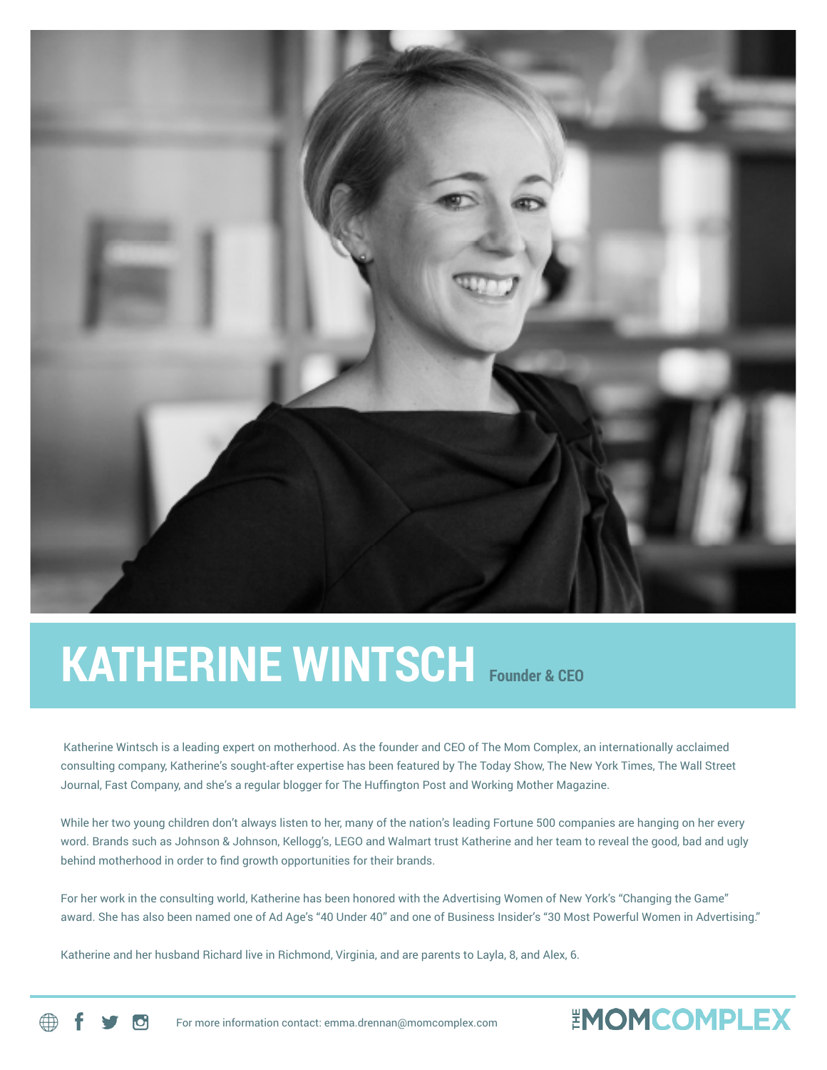

## **KATHERINE WINTSCH Founder & CEO**

Katherine Wintsch is a leading expert on motherhood. As the founder and CEO of The Mom Complex, an internationally acclaimed consulting company, Katherine's sought-after expertise has been featured by The Today Show, The New York Times, The Wall Street Journal, Fast Company, and she's a regular blogger for The Huffington Post and Working Mother Magazine.

While her two young children don't always listen to her, many of the nation's leading Fortune 500 companies are hanging on her every word. Brands such as Johnson & Johnson, Kellogg's, LEGO and Walmart trust Katherine and her team to reveal the good, bad and ugly behind motherhood in order to find growth opportunities for their brands.

For her work in the consulting world, Katherine has been honored with the Advertising Women of New York's "Changing the Game" award. She has also been named one of Ad Age's "40 Under 40" and one of Business Insider's "30 Most Powerful Women in Advertising."

**EMOMCOMPLEX** 

Katherine and her husband Richard live in Richmond, Virginia, and are parents to Layla, 8, and Alex, 6.